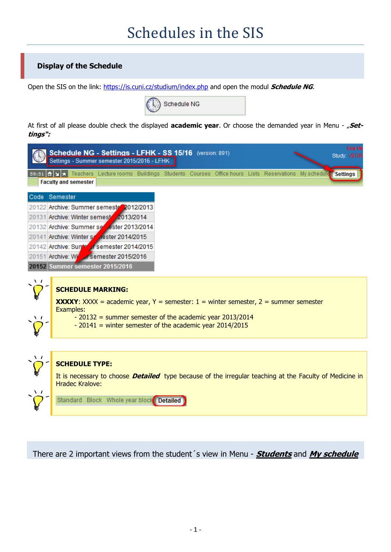# Schedules in the SIS

# **Display of the Schedule**

Open the SIS on the link:<https://is.cuni.cz/studium/index.php> and open the modul **Schedule NG**.



At first of all please double check the displayed **academic year**. Or choose the demanded year in Menu - "Set**tings":**



There are 2 important views from the student´s view in Menu - **Students** and **My schedule**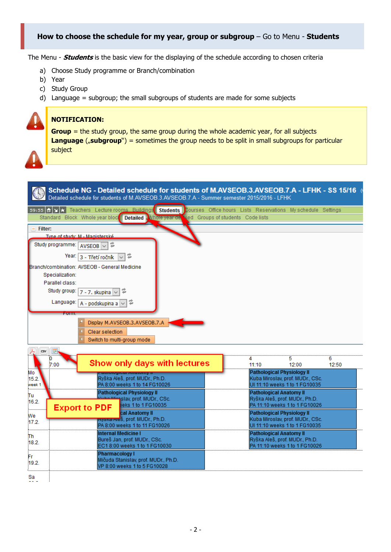## **How to choose the schedule for my year, group or subgroup** – Go to Menu - **Students**

The Menu - **Students** is the basic view for the displaying of the schedule according to chosen criteria

- a) Choose Study programme or Branch/combination
- b) Year
- c) Study Group
- d) Language = subgroup; the small subgroups of students are made for some subjects

#### **NOTIFICATION:**

**Group** = the study group, the same group during the whole academic year, for all subjects **Language** ("subgroup") = sometimes the group needs to be split in small subgroups for particular subject

| Schedule NG - Detailed schedule for students of M.AVSEOB.3.AVSEOB.7.A - LFHK - SS 15/16<br>Detailed schedule for students of M.AVSEOB.3.AVSEOB.7.A - Summer semester 2015/2016 - LFHK |                                                                   |                                                                 |            |
|---------------------------------------------------------------------------------------------------------------------------------------------------------------------------------------|-------------------------------------------------------------------|-----------------------------------------------------------------|------------|
| <b>Students</b><br>59:55 6 x + Teachers Lecture rooms Buildings<br>Standard Block Whole year block Detailed Whole year de Nied Groups of students Code lists                          | Courses Office hours Lists Reservations My schedule Settings      |                                                                 |            |
| <b>Filter:</b>                                                                                                                                                                        |                                                                   |                                                                 |            |
| Type of study: M - Magisterské                                                                                                                                                        |                                                                   |                                                                 |            |
| Study programme:<br>t<br>$AVSEOB$ ~                                                                                                                                                   |                                                                   |                                                                 |            |
| Year: 3 - Třetí ročník                                                                                                                                                                |                                                                   |                                                                 |            |
| Branch/combination: AVSEOB - General Medicine                                                                                                                                         |                                                                   |                                                                 |            |
| Specialization:                                                                                                                                                                       |                                                                   |                                                                 |            |
| Parallel class:                                                                                                                                                                       |                                                                   |                                                                 |            |
| Study group:<br>7 - 7. skupina                                                                                                                                                        |                                                                   |                                                                 |            |
| Language:<br>t<br>A - podskupina a                                                                                                                                                    |                                                                   |                                                                 |            |
|                                                                                                                                                                                       |                                                                   |                                                                 |            |
| Display M.AVSEOB.3.AVSEOB.7.A                                                                                                                                                         |                                                                   |                                                                 |            |
| Clear selection                                                                                                                                                                       |                                                                   |                                                                 |            |
| Switch to multi-group mode                                                                                                                                                            |                                                                   |                                                                 |            |
|                                                                                                                                                                                       |                                                                   |                                                                 |            |
| F.<br>CSV<br>0<br>Show only days with lectures<br>7:00                                                                                                                                | 4<br>11:10                                                        | 5<br>12:00                                                      | 6<br>12:50 |
| Mo<br><mark>amological Allatolliy ir</mark><br>Ryška Aleš, prof. MUDr., Ph.D.<br>15.2.                                                                                                |                                                                   | <b>Pathological Physiology II</b>                               |            |
| PA 8:00 weeks 1 to 14 FG10026<br>week 1                                                                                                                                               | Kuba Miroslav, prof. MUDr., CSc.<br>UI 11:10 weeks 1 to 1 FG10035 |                                                                 |            |
| <b>Pathological Physiology II</b><br>Tu                                                                                                                                               | <b>Pathological Anatomy II</b>                                    |                                                                 |            |
| <b>Mirgslav, prof. MUDr., CSc.</b><br>16.2.                                                                                                                                           | Ryška Aleš, prof. MUDr., Ph.D.<br>PA 11:10 weeks 1 to 1 FG10026   |                                                                 |            |
| eks 1 to 1 FG10035<br><b>Export to PDF</b><br>cal Anatomy II                                                                                                                          |                                                                   | <b>Pathological Physiology II</b>                               |            |
| We<br><del>rtyska Ale</del> š, prof. MUDr., Ph.D.<br>17.2.                                                                                                                            |                                                                   | Kuba Miroslav, prof. MUDr., CSc.                                |            |
| PA 8:00 weeks 1 to 11 FG10026                                                                                                                                                         |                                                                   | UI 11:10 weeks 1 to 1 FG10035                                   |            |
| <b>Internal Medicine I</b><br>Th                                                                                                                                                      |                                                                   | <b>Pathological Anatomy II</b>                                  |            |
| Bureš Jan, prof. MUDr., CSc.<br>18.2.<br>EC18:00 weeks 1 to 1 FG10030                                                                                                                 |                                                                   | Ryška Aleš, prof. MUDr., Ph.D.<br>PA 11:10 weeks 1 to 1 FG10026 |            |
| Pharmacology I                                                                                                                                                                        |                                                                   |                                                                 |            |
| Fr<br>Mičuda Stanislav, prof. MUDr., Ph.D.<br>19.2<br>VP 8:00 weeks 1 to 5 FG10028                                                                                                    |                                                                   |                                                                 |            |
| Sa                                                                                                                                                                                    |                                                                   |                                                                 |            |